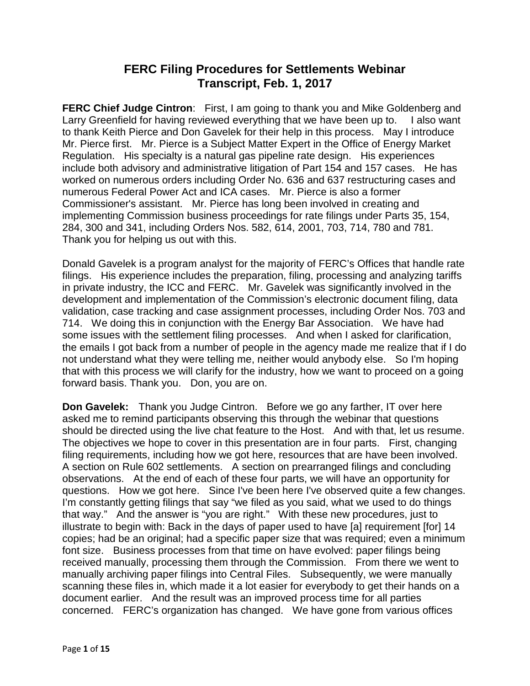## **FERC Filing Procedures for Settlements Webinar Transcript, Feb. 1, 2017**

**FERC Chief Judge Cintron:** First, I am going to thank you and Mike Goldenberg and Larry Greenfield for having reviewed everything that we have been up to. I also want to thank Keith Pierce and Don Gavelek for their help in this process. May I introduce Mr. Pierce first. Mr. Pierce is a Subject Matter Expert in the Office of Energy Market Regulation. His specialty is a natural gas pipeline rate design. His experiences include both advisory and administrative litigation of Part 154 and 157 cases. He has worked on numerous orders including Order No. 636 and 637 restructuring cases and numerous Federal Power Act and ICA cases. Mr. Pierce is also a former Commissioner's assistant. Mr. Pierce has long been involved in creating and implementing Commission business proceedings for rate filings under Parts 35, 154, 284, 300 and 341, including Orders Nos. 582, 614, 2001, 703, 714, 780 and 781. Thank you for helping us out with this.

Donald Gavelek is a program analyst for the majority of FERC's Offices that handle rate filings. His experience includes the preparation, filing, processing and analyzing tariffs in private industry, the ICC and FERC. Mr. Gavelek was significantly involved in the development and implementation of the Commission's electronic document filing, data validation, case tracking and case assignment processes, including Order Nos. 703 and 714. We doing this in conjunction with the Energy Bar Association. We have had some issues with the settlement filing processes. And when I asked for clarification, the emails I got back from a number of people in the agency made me realize that if I do not understand what they were telling me, neither would anybody else. So I'm hoping that with this process we will clarify for the industry, how we want to proceed on a going forward basis. Thank you. Don, you are on.

**Don Gavelek:** Thank you Judge Cintron. Before we go any farther, IT over here asked me to remind participants observing this through the webinar that questions should be directed using the live chat feature to the Host. And with that, let us resume. The objectives we hope to cover in this presentation are in four parts. First, changing filing requirements, including how we got here, resources that are have been involved. A section on Rule 602 settlements. A section on prearranged filings and concluding observations. At the end of each of these four parts, we will have an opportunity for questions. How we got here. Since I've been here I've observed quite a few changes. I'm constantly getting filings that say "we filed as you said, what we used to do things that way." And the answer is "you are right." With these new procedures, just to illustrate to begin with: Back in the days of paper used to have [a] requirement [for] 14 copies; had be an original; had a specific paper size that was required; even a minimum font size. Business processes from that time on have evolved: paper filings being received manually, processing them through the Commission. From there we went to manually archiving paper filings into Central Files. Subsequently, we were manually scanning these files in, which made it a lot easier for everybody to get their hands on a document earlier. And the result was an improved process time for all parties concerned. FERC's organization has changed. We have gone from various offices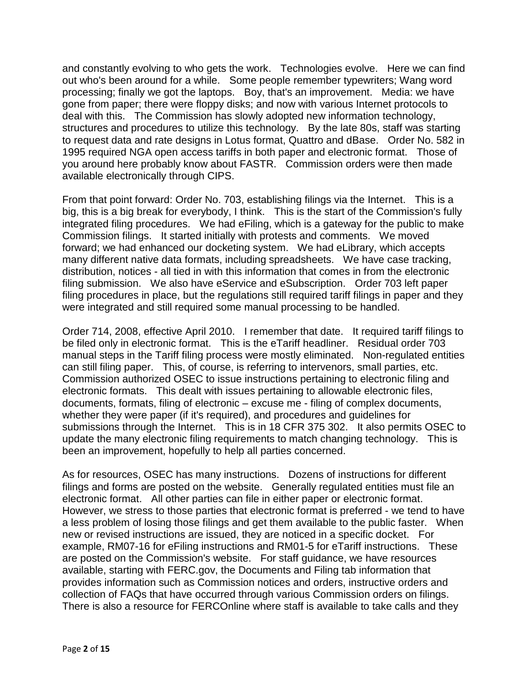and constantly evolving to who gets the work. Technologies evolve. Here we can find out who's been around for a while. Some people remember typewriters; Wang word processing; finally we got the laptops. Boy, that's an improvement. Media: we have gone from paper; there were floppy disks; and now with various Internet protocols to deal with this. The Commission has slowly adopted new information technology, structures and procedures to utilize this technology. By the late 80s, staff was starting to request data and rate designs in Lotus format, Quattro and dBase. Order No. 582 in 1995 required NGA open access tariffs in both paper and electronic format. Those of you around here probably know about FASTR. Commission orders were then made available electronically through CIPS.

From that point forward: Order No. 703, establishing filings via the Internet. This is a big, this is a big break for everybody, I think. This is the start of the Commission's fully integrated filing procedures. We had eFiling, which is a gateway for the public to make Commission filings. It started initially with protests and comments. We moved forward; we had enhanced our docketing system. We had eLibrary, which accepts many different native data formats, including spreadsheets. We have case tracking, distribution, notices - all tied in with this information that comes in from the electronic filing submission. We also have eService and eSubscription. Order 703 left paper filing procedures in place, but the regulations still required tariff filings in paper and they were integrated and still required some manual processing to be handled.

Order 714, 2008, effective April 2010. I remember that date. It required tariff filings to be filed only in electronic format. This is the eTariff headliner. Residual order 703 manual steps in the Tariff filing process were mostly eliminated. Non-regulated entities can still filing paper. This, of course, is referring to intervenors, small parties, etc. Commission authorized OSEC to issue instructions pertaining to electronic filing and electronic formats. This dealt with issues pertaining to allowable electronic files, documents, formats, filing of electronic – excuse me - filing of complex documents, whether they were paper (if it's required), and procedures and guidelines for submissions through the Internet. This is in 18 CFR 375 302. It also permits OSEC to update the many electronic filing requirements to match changing technology. This is been an improvement, hopefully to help all parties concerned.

As for resources, OSEC has many instructions. Dozens of instructions for different filings and forms are posted on the website. Generally regulated entities must file an electronic format. All other parties can file in either paper or electronic format. However, we stress to those parties that electronic format is preferred - we tend to have a less problem of losing those filings and get them available to the public faster. When new or revised instructions are issued, they are noticed in a specific docket. For example, RM07-16 for eFiling instructions and RM01-5 for eTariff instructions. These are posted on the Commission's website. For staff guidance, we have resources available, starting with FERC.gov, the Documents and Filing tab information that provides information such as Commission notices and orders, instructive orders and collection of FAQs that have occurred through various Commission orders on filings. There is also a resource for FERCOnline where staff is available to take calls and they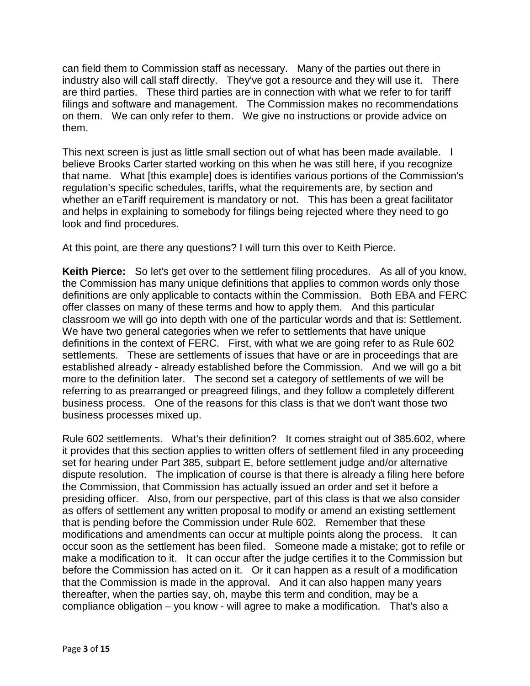can field them to Commission staff as necessary. Many of the parties out there in industry also will call staff directly. They've got a resource and they will use it. There are third parties. These third parties are in connection with what we refer to for tariff filings and software and management. The Commission makes no recommendations on them. We can only refer to them. We give no instructions or provide advice on them.

This next screen is just as little small section out of what has been made available. I believe Brooks Carter started working on this when he was still here, if you recognize that name. What [this example] does is identifies various portions of the Commission's regulation's specific schedules, tariffs, what the requirements are, by section and whether an eTariff requirement is mandatory or not. This has been a great facilitator and helps in explaining to somebody for filings being rejected where they need to go look and find procedures.

At this point, are there any questions? I will turn this over to Keith Pierce.

**Keith Pierce:** So let's get over to the settlement filing procedures. As all of you know, the Commission has many unique definitions that applies to common words only those definitions are only applicable to contacts within the Commission. Both EBA and FERC offer classes on many of these terms and how to apply them. And this particular classroom we will go into depth with one of the particular words and that is: Settlement. We have two general categories when we refer to settlements that have unique definitions in the context of FERC. First, with what we are going refer to as Rule 602 settlements. These are settlements of issues that have or are in proceedings that are established already - already established before the Commission. And we will go a bit more to the definition later. The second set a category of settlements of we will be referring to as prearranged or preagreed filings, and they follow a completely different business process. One of the reasons for this class is that we don't want those two business processes mixed up.

Rule 602 settlements. What's their definition? It comes straight out of 385.602, where it provides that this section applies to written offers of settlement filed in any proceeding set for hearing under Part 385, subpart E, before settlement judge and/or alternative dispute resolution. The implication of course is that there is already a filing here before the Commission, that Commission has actually issued an order and set it before a presiding officer. Also, from our perspective, part of this class is that we also consider as offers of settlement any written proposal to modify or amend an existing settlement that is pending before the Commission under Rule 602. Remember that these modifications and amendments can occur at multiple points along the process. It can occur soon as the settlement has been filed. Someone made a mistake; got to refile or make a modification to it. It can occur after the judge certifies it to the Commission but before the Commission has acted on it. Or it can happen as a result of a modification that the Commission is made in the approval. And it can also happen many years thereafter, when the parties say, oh, maybe this term and condition, may be a compliance obligation – you know - will agree to make a modification. That's also a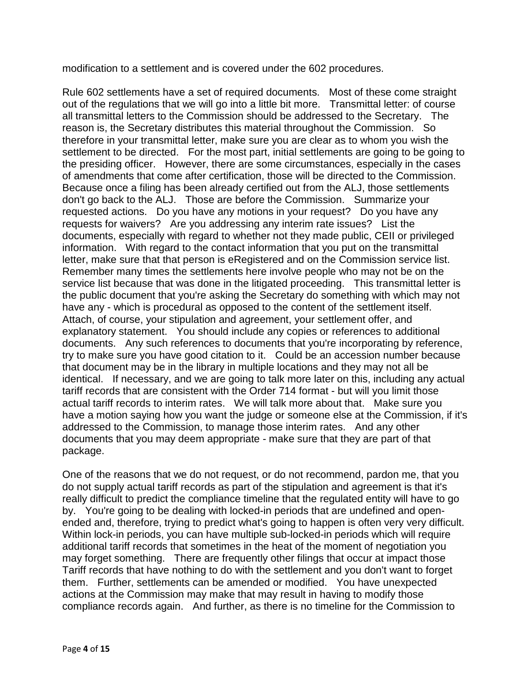modification to a settlement and is covered under the 602 procedures.

Rule 602 settlements have a set of required documents. Most of these come straight out of the regulations that we will go into a little bit more. Transmittal letter: of course all transmittal letters to the Commission should be addressed to the Secretary. The reason is, the Secretary distributes this material throughout the Commission. So therefore in your transmittal letter, make sure you are clear as to whom you wish the settlement to be directed. For the most part, initial settlements are going to be going to the presiding officer. However, there are some circumstances, especially in the cases of amendments that come after certification, those will be directed to the Commission. Because once a filing has been already certified out from the ALJ, those settlements don't go back to the ALJ. Those are before the Commission. Summarize your requested actions. Do you have any motions in your request? Do you have any requests for waivers? Are you addressing any interim rate issues? List the documents, especially with regard to whether not they made public, CEII or privileged information. With regard to the contact information that you put on the transmittal letter, make sure that that person is eRegistered and on the Commission service list. Remember many times the settlements here involve people who may not be on the service list because that was done in the litigated proceeding. This transmittal letter is the public document that you're asking the Secretary do something with which may not have any - which is procedural as opposed to the content of the settlement itself. Attach, of course, your stipulation and agreement, your settlement offer, and explanatory statement. You should include any copies or references to additional documents. Any such references to documents that you're incorporating by reference, try to make sure you have good citation to it. Could be an accession number because that document may be in the library in multiple locations and they may not all be identical. If necessary, and we are going to talk more later on this, including any actual tariff records that are consistent with the Order 714 format - but will you limit those actual tariff records to interim rates. We will talk more about that. Make sure you have a motion saying how you want the judge or someone else at the Commission, if it's addressed to the Commission, to manage those interim rates. And any other documents that you may deem appropriate - make sure that they are part of that package.

One of the reasons that we do not request, or do not recommend, pardon me, that you do not supply actual tariff records as part of the stipulation and agreement is that it's really difficult to predict the compliance timeline that the regulated entity will have to go by. You're going to be dealing with locked-in periods that are undefined and openended and, therefore, trying to predict what's going to happen is often very very difficult. Within lock-in periods, you can have multiple sub-locked-in periods which will require additional tariff records that sometimes in the heat of the moment of negotiation you may forget something. There are frequently other filings that occur at impact those Tariff records that have nothing to do with the settlement and you don't want to forget them. Further, settlements can be amended or modified. You have unexpected actions at the Commission may make that may result in having to modify those compliance records again. And further, as there is no timeline for the Commission to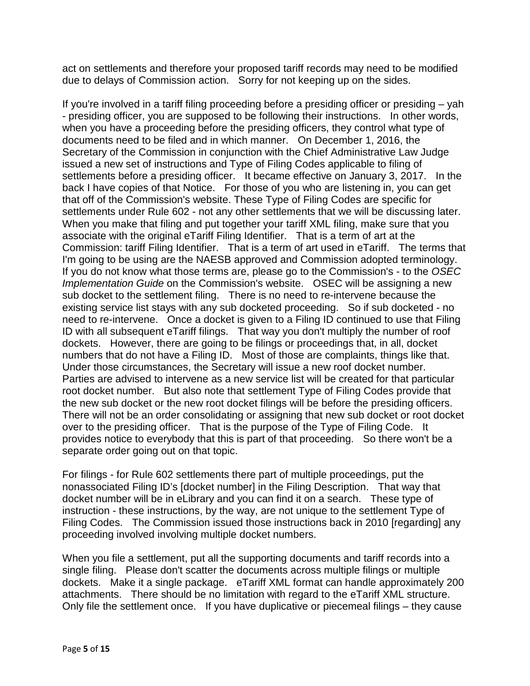act on settlements and therefore your proposed tariff records may need to be modified due to delays of Commission action. Sorry for not keeping up on the sides.

If you're involved in a tariff filing proceeding before a presiding officer or presiding – yah - presiding officer, you are supposed to be following their instructions. In other words, when you have a proceeding before the presiding officers, they control what type of documents need to be filed and in which manner. On December 1, 2016, the Secretary of the Commission in conjunction with the Chief Administrative Law Judge issued a new set of instructions and Type of Filing Codes applicable to filing of settlements before a presiding officer. It became effective on January 3, 2017. In the back I have copies of that Notice. For those of you who are listening in, you can get that off of the Commission's website. These Type of Filing Codes are specific for settlements under Rule 602 - not any other settlements that we will be discussing later. When you make that filing and put together your tariff XML filing, make sure that you associate with the original eTariff Filing Identifier. That is a term of art at the Commission: tariff Filing Identifier. That is a term of art used in eTariff. The terms that I'm going to be using are the NAESB approved and Commission adopted terminology. If you do not know what those terms are, please go to the Commission's - to the *OSEC Implementation Guide* on the Commission's website. OSEC will be assigning a new sub docket to the settlement filing. There is no need to re-intervene because the existing service list stays with any sub docketed proceeding. So if sub docketed - no need to re-intervene. Once a docket is given to a Filing ID continued to use that Filing ID with all subsequent eTariff filings. That way you don't multiply the number of roof dockets. However, there are going to be filings or proceedings that, in all, docket numbers that do not have a Filing ID. Most of those are complaints, things like that. Under those circumstances, the Secretary will issue a new roof docket number. Parties are advised to intervene as a new service list will be created for that particular root docket number. But also note that settlement Type of Filing Codes provide that the new sub docket or the new root docket filings will be before the presiding officers. There will not be an order consolidating or assigning that new sub docket or root docket over to the presiding officer. That is the purpose of the Type of Filing Code. It provides notice to everybody that this is part of that proceeding. So there won't be a separate order going out on that topic.

For filings - for Rule 602 settlements there part of multiple proceedings, put the nonassociated Filing ID's [docket number] in the Filing Description. That way that docket number will be in eLibrary and you can find it on a search. These type of instruction - these instructions, by the way, are not unique to the settlement Type of Filing Codes. The Commission issued those instructions back in 2010 [regarding] any proceeding involved involving multiple docket numbers.

When you file a settlement, put all the supporting documents and tariff records into a single filing. Please don't scatter the documents across multiple filings or multiple dockets. Make it a single package. eTariff XML format can handle approximately 200 attachments. There should be no limitation with regard to the eTariff XML structure. Only file the settlement once. If you have duplicative or piecemeal filings – they cause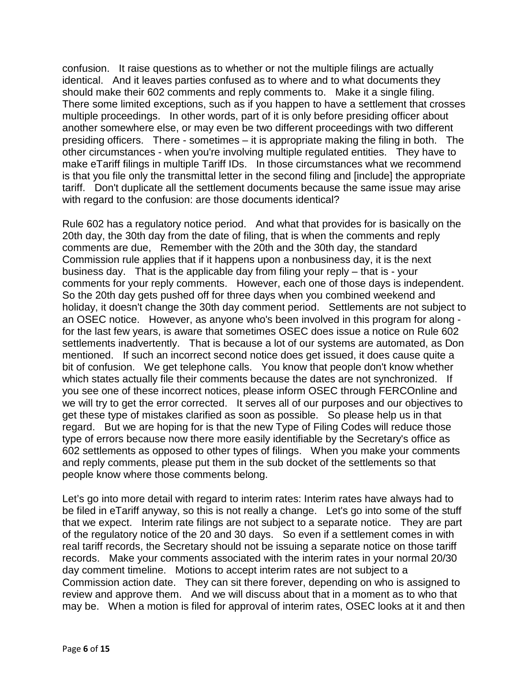confusion. It raise questions as to whether or not the multiple filings are actually identical. And it leaves parties confused as to where and to what documents they should make their 602 comments and reply comments to. Make it a single filing. There some limited exceptions, such as if you happen to have a settlement that crosses multiple proceedings. In other words, part of it is only before presiding officer about another somewhere else, or may even be two different proceedings with two different presiding officers. There - sometimes – it is appropriate making the filing in both. The other circumstances - when you're involving multiple regulated entities. They have to make eTariff filings in multiple Tariff IDs. In those circumstances what we recommend is that you file only the transmittal letter in the second filing and [include] the appropriate tariff. Don't duplicate all the settlement documents because the same issue may arise with regard to the confusion: are those documents identical?

Rule 602 has a regulatory notice period. And what that provides for is basically on the 20th day, the 30th day from the date of filing, that is when the comments and reply comments are due, Remember with the 20th and the 30th day, the standard Commission rule applies that if it happens upon a nonbusiness day, it is the next business day. That is the applicable day from filing your reply – that is - your comments for your reply comments. However, each one of those days is independent. So the 20th day gets pushed off for three days when you combined weekend and holiday, it doesn't change the 30th day comment period. Settlements are not subject to an OSEC notice. However, as anyone who's been involved in this program for along for the last few years, is aware that sometimes OSEC does issue a notice on Rule 602 settlements inadvertently. That is because a lot of our systems are automated, as Don mentioned. If such an incorrect second notice does get issued, it does cause quite a bit of confusion. We get telephone calls. You know that people don't know whether which states actually file their comments because the dates are not synchronized. If you see one of these incorrect notices, please inform OSEC through FERCOnline and we will try to get the error corrected. It serves all of our purposes and our objectives to get these type of mistakes clarified as soon as possible. So please help us in that regard. But we are hoping for is that the new Type of Filing Codes will reduce those type of errors because now there more easily identifiable by the Secretary's office as 602 settlements as opposed to other types of filings. When you make your comments and reply comments, please put them in the sub docket of the settlements so that people know where those comments belong.

Let's go into more detail with regard to interim rates: Interim rates have always had to be filed in eTariff anyway, so this is not really a change. Let's go into some of the stuff that we expect. Interim rate filings are not subject to a separate notice. They are part of the regulatory notice of the 20 and 30 days. So even if a settlement comes in with real tariff records, the Secretary should not be issuing a separate notice on those tariff records. Make your comments associated with the interim rates in your normal 20/30 day comment timeline. Motions to accept interim rates are not subject to a Commission action date. They can sit there forever, depending on who is assigned to review and approve them. And we will discuss about that in a moment as to who that may be. When a motion is filed for approval of interim rates, OSEC looks at it and then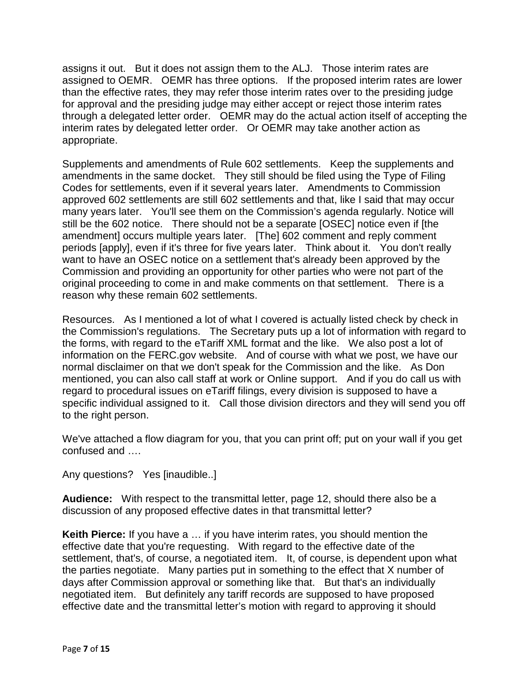assigns it out. But it does not assign them to the ALJ. Those interim rates are assigned to OEMR. OEMR has three options. If the proposed interim rates are lower than the effective rates, they may refer those interim rates over to the presiding judge for approval and the presiding judge may either accept or reject those interim rates through a delegated letter order. OEMR may do the actual action itself of accepting the interim rates by delegated letter order. Or OEMR may take another action as appropriate.

Supplements and amendments of Rule 602 settlements. Keep the supplements and amendments in the same docket. They still should be filed using the Type of Filing Codes for settlements, even if it several years later. Amendments to Commission approved 602 settlements are still 602 settlements and that, like I said that may occur many years later. You'll see them on the Commission's agenda regularly. Notice will still be the 602 notice. There should not be a separate [OSEC] notice even if [the amendment] occurs multiple years later. [The] 602 comment and reply comment periods [apply], even if it's three for five years later. Think about it. You don't really want to have an OSEC notice on a settlement that's already been approved by the Commission and providing an opportunity for other parties who were not part of the original proceeding to come in and make comments on that settlement. There is a reason why these remain 602 settlements.

Resources. As I mentioned a lot of what I covered is actually listed check by check in the Commission's regulations. The Secretary puts up a lot of information with regard to the forms, with regard to the eTariff XML format and the like. We also post a lot of information on the FERC.gov website. And of course with what we post, we have our normal disclaimer on that we don't speak for the Commission and the like. As Don mentioned, you can also call staff at work or Online support. And if you do call us with regard to procedural issues on eTariff filings, every division is supposed to have a specific individual assigned to it. Call those division directors and they will send you off to the right person.

We've attached a flow diagram for you, that you can print off; put on your wall if you get confused and ….

Any questions? Yes [inaudible..]

**Audience:** With respect to the transmittal letter, page 12, should there also be a discussion of any proposed effective dates in that transmittal letter?

**Keith Pierce:** If you have a … if you have interim rates, you should mention the effective date that you're requesting. With regard to the effective date of the settlement, that's, of course, a negotiated item. It, of course, is dependent upon what the parties negotiate. Many parties put in something to the effect that X number of days after Commission approval or something like that. But that's an individually negotiated item. But definitely any tariff records are supposed to have proposed effective date and the transmittal letter's motion with regard to approving it should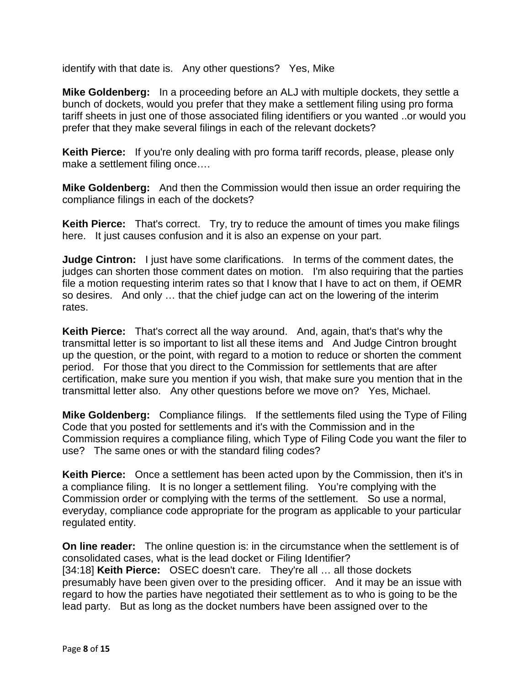identify with that date is. Any other questions? Yes, Mike

**Mike Goldenberg:** In a proceeding before an ALJ with multiple dockets, they settle a bunch of dockets, would you prefer that they make a settlement filing using pro forma tariff sheets in just one of those associated filing identifiers or you wanted ..or would you prefer that they make several filings in each of the relevant dockets?

**Keith Pierce:** If you're only dealing with pro forma tariff records, please, please only make a settlement filing once….

**Mike Goldenberg:** And then the Commission would then issue an order requiring the compliance filings in each of the dockets?

**Keith Pierce:** That's correct. Try, try to reduce the amount of times you make filings here. It just causes confusion and it is also an expense on your part.

**Judge Cintron:** I just have some clarifications. In terms of the comment dates, the judges can shorten those comment dates on motion. I'm also requiring that the parties file a motion requesting interim rates so that I know that I have to act on them, if OEMR so desires. And only … that the chief judge can act on the lowering of the interim rates.

**Keith Pierce:** That's correct all the way around. And, again, that's that's why the transmittal letter is so important to list all these items and And Judge Cintron brought up the question, or the point, with regard to a motion to reduce or shorten the comment period. For those that you direct to the Commission for settlements that are after certification, make sure you mention if you wish, that make sure you mention that in the transmittal letter also. Any other questions before we move on? Yes, Michael.

**Mike Goldenberg:** Compliance filings. If the settlements filed using the Type of Filing Code that you posted for settlements and it's with the Commission and in the Commission requires a compliance filing, which Type of Filing Code you want the filer to use? The same ones or with the standard filing codes?

**Keith Pierce:** Once a settlement has been acted upon by the Commission, then it's in a compliance filing. It is no longer a settlement filing. You're complying with the Commission order or complying with the terms of the settlement. So use a normal, everyday, compliance code appropriate for the program as applicable to your particular regulated entity.

**On line reader:** The online question is: in the circumstance when the settlement is of consolidated cases, what is the lead docket or Filing Identifier? [34:18] **Keith Pierce:** OSEC doesn't care. They're all … all those dockets presumably have been given over to the presiding officer. And it may be an issue with regard to how the parties have negotiated their settlement as to who is going to be the lead party. But as long as the docket numbers have been assigned over to the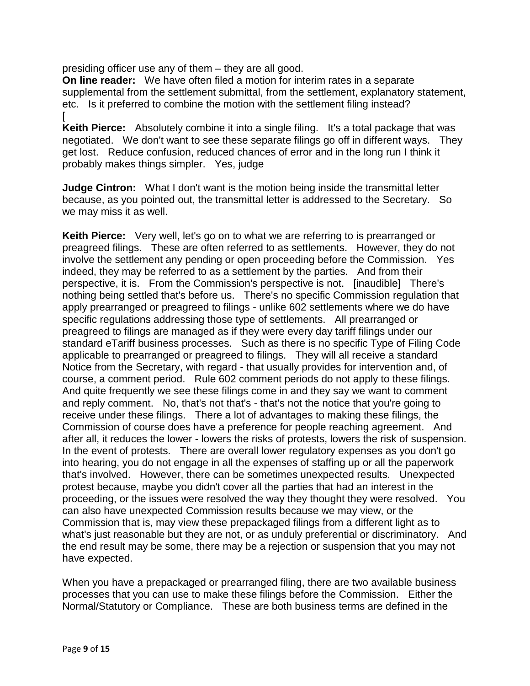presiding officer use any of them – they are all good.

**On line reader:** We have often filed a motion for interim rates in a separate supplemental from the settlement submittal, from the settlement, explanatory statement, etc. Is it preferred to combine the motion with the settlement filing instead? [

**Keith Pierce:** Absolutely combine it into a single filing. It's a total package that was negotiated. We don't want to see these separate filings go off in different ways. They get lost. Reduce confusion, reduced chances of error and in the long run I think it probably makes things simpler. Yes, judge

**Judge Cintron:** What I don't want is the motion being inside the transmittal letter because, as you pointed out, the transmittal letter is addressed to the Secretary. So we may miss it as well.

**Keith Pierce:** Very well, let's go on to what we are referring to is prearranged or preagreed filings. These are often referred to as settlements. However, they do not involve the settlement any pending or open proceeding before the Commission. Yes indeed, they may be referred to as a settlement by the parties. And from their perspective, it is. From the Commission's perspective is not. [inaudible] There's nothing being settled that's before us. There's no specific Commission regulation that apply prearranged or preagreed to filings - unlike 602 settlements where we do have specific regulations addressing those type of settlements. All prearranged or preagreed to filings are managed as if they were every day tariff filings under our standard eTariff business processes. Such as there is no specific Type of Filing Code applicable to prearranged or preagreed to filings. They will all receive a standard Notice from the Secretary, with regard - that usually provides for intervention and, of course, a comment period. Rule 602 comment periods do not apply to these filings. And quite frequently we see these filings come in and they say we want to comment and reply comment. No, that's not that's - that's not the notice that you're going to receive under these filings. There a lot of advantages to making these filings, the Commission of course does have a preference for people reaching agreement. And after all, it reduces the lower - lowers the risks of protests, lowers the risk of suspension. In the event of protests. There are overall lower regulatory expenses as you don't go into hearing, you do not engage in all the expenses of staffing up or all the paperwork that's involved. However, there can be sometimes unexpected results. Unexpected protest because, maybe you didn't cover all the parties that had an interest in the proceeding, or the issues were resolved the way they thought they were resolved. You can also have unexpected Commission results because we may view, or the Commission that is, may view these prepackaged filings from a different light as to what's just reasonable but they are not, or as unduly preferential or discriminatory. And the end result may be some, there may be a rejection or suspension that you may not have expected.

When you have a prepackaged or prearranged filing, there are two available business processes that you can use to make these filings before the Commission. Either the Normal/Statutory or Compliance. These are both business terms are defined in the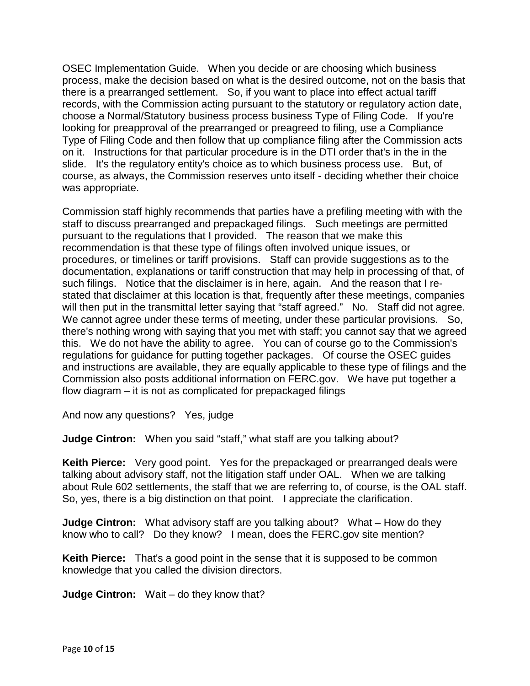OSEC Implementation Guide. When you decide or are choosing which business process, make the decision based on what is the desired outcome, not on the basis that there is a prearranged settlement. So, if you want to place into effect actual tariff records, with the Commission acting pursuant to the statutory or regulatory action date, choose a Normal/Statutory business process business Type of Filing Code. If you're looking for preapproval of the prearranged or preagreed to filing, use a Compliance Type of Filing Code and then follow that up compliance filing after the Commission acts on it. Instructions for that particular procedure is in the DTI order that's in the in the slide. It's the regulatory entity's choice as to which business process use. But, of course, as always, the Commission reserves unto itself - deciding whether their choice was appropriate.

Commission staff highly recommends that parties have a prefiling meeting with with the staff to discuss prearranged and prepackaged filings. Such meetings are permitted pursuant to the regulations that I provided. The reason that we make this recommendation is that these type of filings often involved unique issues, or procedures, or timelines or tariff provisions. Staff can provide suggestions as to the documentation, explanations or tariff construction that may help in processing of that, of such filings. Notice that the disclaimer is in here, again. And the reason that I restated that disclaimer at this location is that, frequently after these meetings, companies will then put in the transmittal letter saying that "staff agreed." No. Staff did not agree. We cannot agree under these terms of meeting, under these particular provisions. So, there's nothing wrong with saying that you met with staff; you cannot say that we agreed this. We do not have the ability to agree. You can of course go to the Commission's regulations for guidance for putting together packages. Of course the OSEC guides and instructions are available, they are equally applicable to these type of filings and the Commission also posts additional information on FERC.gov. We have put together a flow diagram – it is not as complicated for prepackaged filings

And now any questions? Yes, judge

**Judge Cintron:** When you said "staff," what staff are you talking about?

**Keith Pierce:** Very good point. Yes for the prepackaged or prearranged deals were talking about advisory staff, not the litigation staff under OAL. When we are talking about Rule 602 settlements, the staff that we are referring to, of course, is the OAL staff. So, yes, there is a big distinction on that point. I appreciate the clarification.

**Judge Cintron:** What advisory staff are you talking about? What – How do they know who to call? Do they know? I mean, does the FERC.gov site mention?

**Keith Pierce:** That's a good point in the sense that it is supposed to be common knowledge that you called the division directors.

**Judge Cintron:** Wait – do they know that?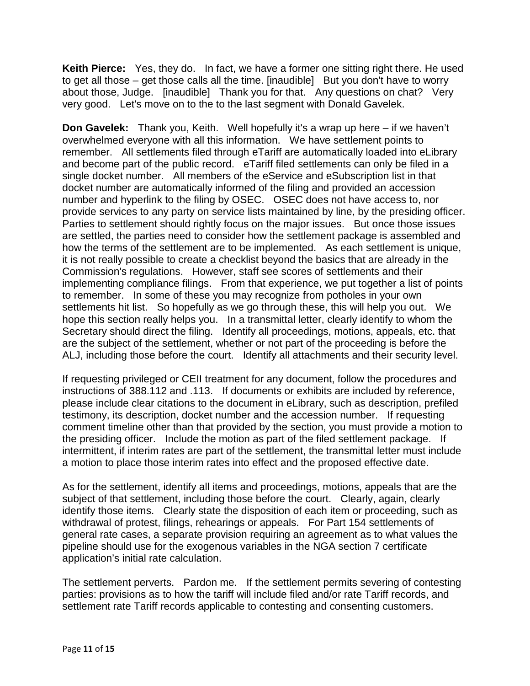**Keith Pierce:** Yes, they do. In fact, we have a former one sitting right there. He used to get all those – get those calls all the time. [inaudible] But you don't have to worry about those, Judge. [inaudible] Thank you for that. Any questions on chat? Very very good. Let's move on to the to the last segment with Donald Gavelek.

**Don Gavelek:** Thank you, Keith. Well hopefully it's a wrap up here – if we haven't overwhelmed everyone with all this information. We have settlement points to remember. All settlements filed through eTariff are automatically loaded into eLibrary and become part of the public record. eTariff filed settlements can only be filed in a single docket number. All members of the eService and eSubscription list in that docket number are automatically informed of the filing and provided an accession number and hyperlink to the filing by OSEC. OSEC does not have access to, nor provide services to any party on service lists maintained by line, by the presiding officer. Parties to settlement should rightly focus on the major issues. But once those issues are settled, the parties need to consider how the settlement package is assembled and how the terms of the settlement are to be implemented. As each settlement is unique, it is not really possible to create a checklist beyond the basics that are already in the Commission's regulations. However, staff see scores of settlements and their implementing compliance filings. From that experience, we put together a list of points to remember. In some of these you may recognize from potholes in your own settlements hit list. So hopefully as we go through these, this will help you out. We hope this section really helps you. In a transmittal letter, clearly identify to whom the Secretary should direct the filing. Identify all proceedings, motions, appeals, etc. that are the subject of the settlement, whether or not part of the proceeding is before the ALJ, including those before the court. Identify all attachments and their security level.

If requesting privileged or CEII treatment for any document, follow the procedures and instructions of 388.112 and .113. If documents or exhibits are included by reference, please include clear citations to the document in eLibrary, such as description, prefiled testimony, its description, docket number and the accession number. If requesting comment timeline other than that provided by the section, you must provide a motion to the presiding officer. Include the motion as part of the filed settlement package. If intermittent, if interim rates are part of the settlement, the transmittal letter must include a motion to place those interim rates into effect and the proposed effective date.

As for the settlement, identify all items and proceedings, motions, appeals that are the subject of that settlement, including those before the court. Clearly, again, clearly identify those items. Clearly state the disposition of each item or proceeding, such as withdrawal of protest, filings, rehearings or appeals. For Part 154 settlements of general rate cases, a separate provision requiring an agreement as to what values the pipeline should use for the exogenous variables in the NGA section 7 certificate application's initial rate calculation.

The settlement perverts. Pardon me. If the settlement permits severing of contesting parties: provisions as to how the tariff will include filed and/or rate Tariff records, and settlement rate Tariff records applicable to contesting and consenting customers.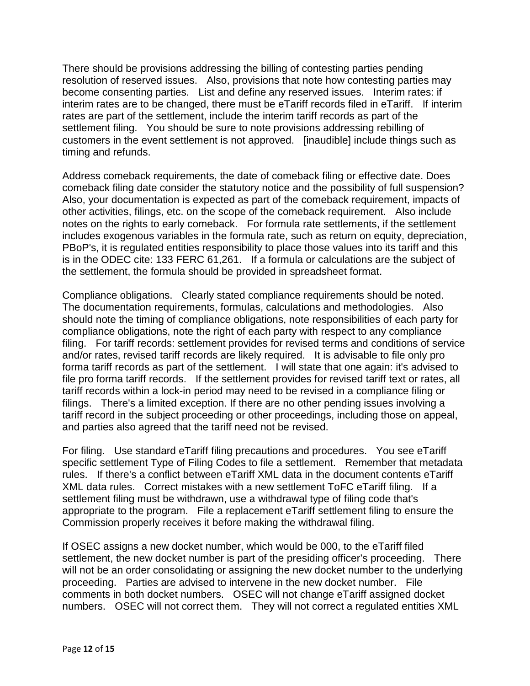There should be provisions addressing the billing of contesting parties pending resolution of reserved issues. Also, provisions that note how contesting parties may become consenting parties. List and define any reserved issues. Interim rates: if interim rates are to be changed, there must be eTariff records filed in eTariff. If interim rates are part of the settlement, include the interim tariff records as part of the settlement filing. You should be sure to note provisions addressing rebilling of customers in the event settlement is not approved. [inaudible] include things such as timing and refunds.

Address comeback requirements, the date of comeback filing or effective date. Does comeback filing date consider the statutory notice and the possibility of full suspension? Also, your documentation is expected as part of the comeback requirement, impacts of other activities, filings, etc. on the scope of the comeback requirement. Also include notes on the rights to early comeback. For formula rate settlements, if the settlement includes exogenous variables in the formula rate, such as return on equity, depreciation, PBoP's, it is regulated entities responsibility to place those values into its tariff and this is in the ODEC cite: 133 FERC 61,261. If a formula or calculations are the subject of the settlement, the formula should be provided in spreadsheet format.

Compliance obligations. Clearly stated compliance requirements should be noted. The documentation requirements, formulas, calculations and methodologies. Also should note the timing of compliance obligations, note responsibilities of each party for compliance obligations, note the right of each party with respect to any compliance filing. For tariff records: settlement provides for revised terms and conditions of service and/or rates, revised tariff records are likely required. It is advisable to file only pro forma tariff records as part of the settlement. I will state that one again: it's advised to file pro forma tariff records. If the settlement provides for revised tariff text or rates, all tariff records within a lock-in period may need to be revised in a compliance filing or filings. There's a limited exception. If there are no other pending issues involving a tariff record in the subject proceeding or other proceedings, including those on appeal, and parties also agreed that the tariff need not be revised.

For filing. Use standard eTariff filing precautions and procedures. You see eTariff specific settlement Type of Filing Codes to file a settlement. Remember that metadata rules. If there's a conflict between eTariff XML data in the document contents eTariff XML data rules. Correct mistakes with a new settlement ToFC eTariff filing. If a settlement filing must be withdrawn, use a withdrawal type of filing code that's appropriate to the program. File a replacement eTariff settlement filing to ensure the Commission properly receives it before making the withdrawal filing.

If OSEC assigns a new docket number, which would be 000, to the eTariff filed settlement, the new docket number is part of the presiding officer's proceeding. There will not be an order consolidating or assigning the new docket number to the underlying proceeding. Parties are advised to intervene in the new docket number. File comments in both docket numbers. OSEC will not change eTariff assigned docket numbers. OSEC will not correct them. They will not correct a regulated entities XML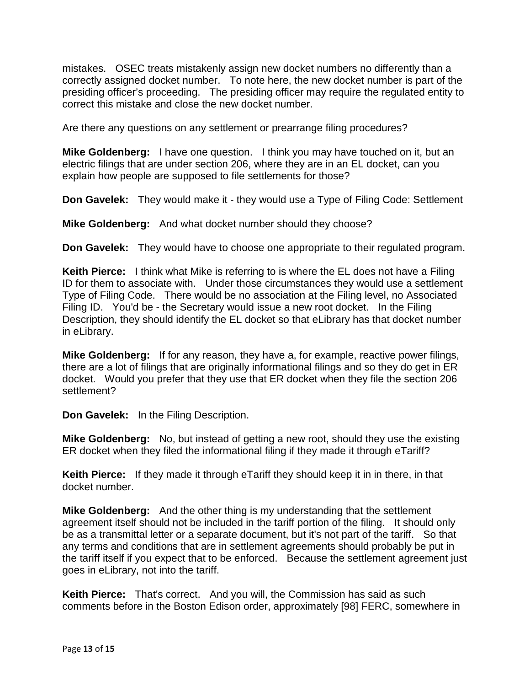mistakes. OSEC treats mistakenly assign new docket numbers no differently than a correctly assigned docket number. To note here, the new docket number is part of the presiding officer's proceeding. The presiding officer may require the regulated entity to correct this mistake and close the new docket number.

Are there any questions on any settlement or prearrange filing procedures?

**Mike Goldenberg:** I have one question. I think you may have touched on it, but an electric filings that are under section 206, where they are in an EL docket, can you explain how people are supposed to file settlements for those?

**Don Gavelek:** They would make it - they would use a Type of Filing Code: Settlement

**Mike Goldenberg:** And what docket number should they choose?

**Don Gavelek:** They would have to choose one appropriate to their regulated program.

**Keith Pierce:** I think what Mike is referring to is where the EL does not have a Filing ID for them to associate with. Under those circumstances they would use a settlement Type of Filing Code. There would be no association at the Filing level, no Associated Filing ID. You'd be - the Secretary would issue a new root docket. In the Filing Description, they should identify the EL docket so that eLibrary has that docket number in eLibrary.

**Mike Goldenberg:** If for any reason, they have a, for example, reactive power filings, there are a lot of filings that are originally informational filings and so they do get in ER docket. Would you prefer that they use that ER docket when they file the section 206 settlement?

**Don Gavelek:** In the Filing Description.

**Mike Goldenberg:** No, but instead of getting a new root, should they use the existing ER docket when they filed the informational filing if they made it through eTariff?

**Keith Pierce:** If they made it through eTariff they should keep it in in there, in that docket number.

**Mike Goldenberg:** And the other thing is my understanding that the settlement agreement itself should not be included in the tariff portion of the filing. It should only be as a transmittal letter or a separate document, but it's not part of the tariff. So that any terms and conditions that are in settlement agreements should probably be put in the tariff itself if you expect that to be enforced. Because the settlement agreement just goes in eLibrary, not into the tariff.

**Keith Pierce:** That's correct. And you will, the Commission has said as such comments before in the Boston Edison order, approximately [98] FERC, somewhere in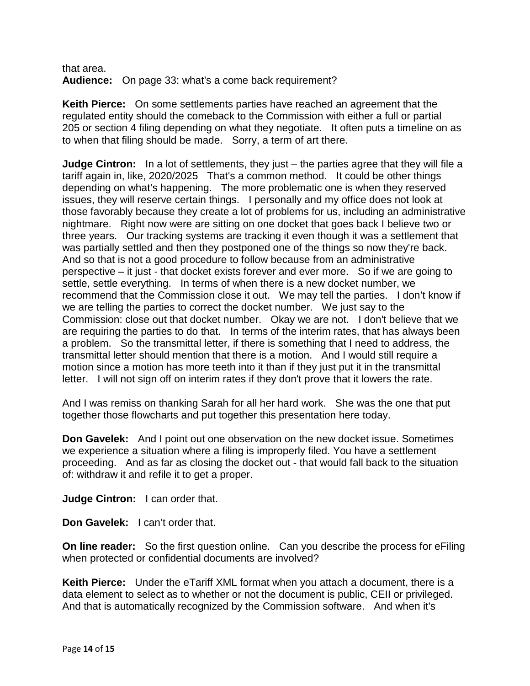that area. **Audience:** On page 33: what's a come back requirement?

**Keith Pierce:** On some settlements parties have reached an agreement that the regulated entity should the comeback to the Commission with either a full or partial 205 or section 4 filing depending on what they negotiate. It often puts a timeline on as to when that filing should be made. Sorry, a term of art there.

**Judge Cintron:** In a lot of settlements, they just – the parties agree that they will file a tariff again in, like, 2020/2025 That's a common method. It could be other things depending on what's happening. The more problematic one is when they reserved issues, they will reserve certain things. I personally and my office does not look at those favorably because they create a lot of problems for us, including an administrative nightmare. Right now were are sitting on one docket that goes back I believe two or three years. Our tracking systems are tracking it even though it was a settlement that was partially settled and then they postponed one of the things so now they're back. And so that is not a good procedure to follow because from an administrative perspective – it just - that docket exists forever and ever more. So if we are going to settle, settle everything. In terms of when there is a new docket number, we recommend that the Commission close it out. We may tell the parties. I don't know if we are telling the parties to correct the docket number. We just say to the Commission: close out that docket number. Okay we are not. I don't believe that we are requiring the parties to do that. In terms of the interim rates, that has always been a problem. So the transmittal letter, if there is something that I need to address, the transmittal letter should mention that there is a motion. And I would still require a motion since a motion has more teeth into it than if they just put it in the transmittal letter. I will not sign off on interim rates if they don't prove that it lowers the rate.

And I was remiss on thanking Sarah for all her hard work. She was the one that put together those flowcharts and put together this presentation here today.

**Don Gavelek:** And I point out one observation on the new docket issue. Sometimes we experience a situation where a filing is improperly filed. You have a settlement proceeding. And as far as closing the docket out - that would fall back to the situation of: withdraw it and refile it to get a proper.

**Judge Cintron:** I can order that.

**Don Gavelek:** I can't order that.

**On line reader:** So the first question online. Can you describe the process for eFiling when protected or confidential documents are involved?

**Keith Pierce:** Under the eTariff XML format when you attach a document, there is a data element to select as to whether or not the document is public, CEII or privileged. And that is automatically recognized by the Commission software. And when it's